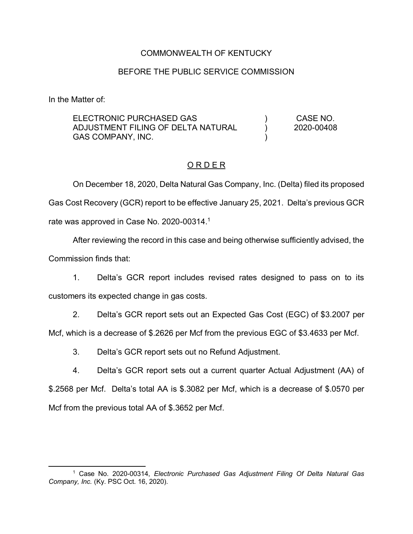## COMMONWEALTH OF KENTUCKY

#### BEFORE THE PUBLIC SERVICE COMMISSION

In the Matter of:

ELECTRONIC PURCHASED GAS ADJUSTMENT FILING OF DELTA NATURAL GAS COMPANY, INC. ) )  $\lambda$ CASE NO. 2020-00408

#### O R D E R

On December 18, 2020, Delta Natural Gas Company, Inc. (Delta) filed its proposed Gas Cost Recovery (GCR) report to be effective January 25, 2021. Delta's previous GCR rate was approved in Case No. 2020-00314.<sup>1</sup>

After reviewing the record in this case and being otherwise sufficiently advised, the Commission finds that:

1. Delta's GCR report includes revised rates designed to pass on to its customers its expected change in gas costs.

2. Delta's GCR report sets out an Expected Gas Cost (EGC) of \$3.2007 per

Mcf, which is a decrease of \$.2626 per Mcf from the previous EGC of \$3.4633 per Mcf.

3. Delta's GCR report sets out no Refund Adjustment.

4. Delta's GCR report sets out a current quarter Actual Adjustment (AA) of \$.2568 per Mcf. Delta's total AA is \$.3082 per Mcf, which is a decrease of \$.0570 per Mcf from the previous total AA of \$.3652 per Mcf.

 $\overline{\phantom{a}}$ <sup>1</sup> Case No. 2020-00314, *Electronic Purchased Gas Adjustment Filing Of Delta Natural Gas Company, Inc.* (Ky. PSC Oct. 16, 2020).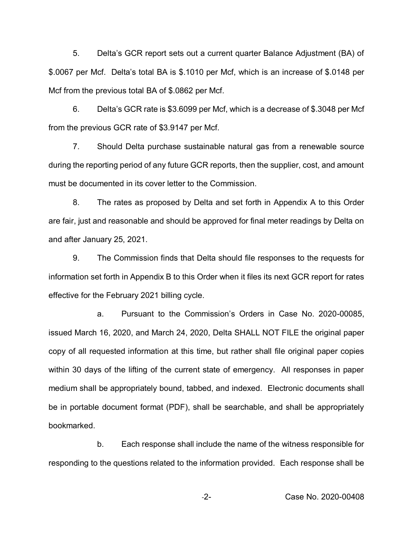5. Delta's GCR report sets out a current quarter Balance Adjustment (BA) of \$.0067 per Mcf. Delta's total BA is \$.1010 per Mcf, which is an increase of \$.0148 per Mcf from the previous total BA of \$.0862 per Mcf.

6. Delta's GCR rate is \$3.6099 per Mcf, which is a decrease of \$.3048 per Mcf from the previous GCR rate of \$3.9147 per Mcf.

7. Should Delta purchase sustainable natural gas from a renewable source during the reporting period of any future GCR reports, then the supplier, cost, and amount must be documented in its cover letter to the Commission.

8. The rates as proposed by Delta and set forth in Appendix A to this Order are fair, just and reasonable and should be approved for final meter readings by Delta on and after January 25, 2021.

9. The Commission finds that Delta should file responses to the requests for information set forth in Appendix B to this Order when it files its next GCR report for rates effective for the February 2021 billing cycle.

a. Pursuant to the Commission's Orders in Case No. 2020-00085, issued March 16, 2020, and March 24, 2020, Delta SHALL NOT FILE the original paper copy of all requested information at this time, but rather shall file original paper copies within 30 days of the lifting of the current state of emergency. All responses in paper medium shall be appropriately bound, tabbed, and indexed. Electronic documents shall be in portable document format (PDF), shall be searchable, and shall be appropriately bookmarked.

b. Each response shall include the name of the witness responsible for responding to the questions related to the information provided. Each response shall be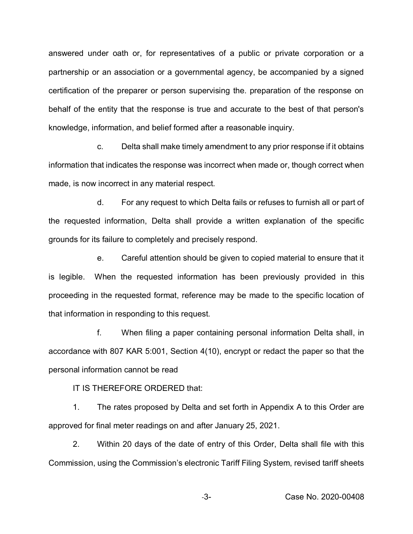answered under oath or, for representatives of a public or private corporation or a partnership or an association or a governmental agency, be accompanied by a signed certification of the preparer or person supervising the. preparation of the response on behalf of the entity that the response is true and accurate to the best of that person's knowledge, information, and belief formed after a reasonable inquiry.

c. Delta shall make timely amendment to any prior response if it obtains information that indicates the response was incorrect when made or, though correct when made, is now incorrect in any material respect.

d. For any request to which Delta fails or refuses to furnish all or part of the requested information, Delta shall provide a written explanation of the specific grounds for its failure to completely and precisely respond.

e. Careful attention should be given to copied material to ensure that it is legible. When the requested information has been previously provided in this proceeding in the requested format, reference may be made to the specific location of that information in responding to this request.

f. When filing a paper containing personal information Delta shall, in accordance with 807 KAR 5:001, Section 4(10), encrypt or redact the paper so that the personal information cannot be read

IT IS THEREFORE ORDERED that:

1. The rates proposed by Delta and set forth in Appendix A to this Order are approved for final meter readings on and after January 25, 2021.

2. Within 20 days of the date of entry of this Order, Delta shall file with this Commission, using the Commission's electronic Tariff Filing System, revised tariff sheets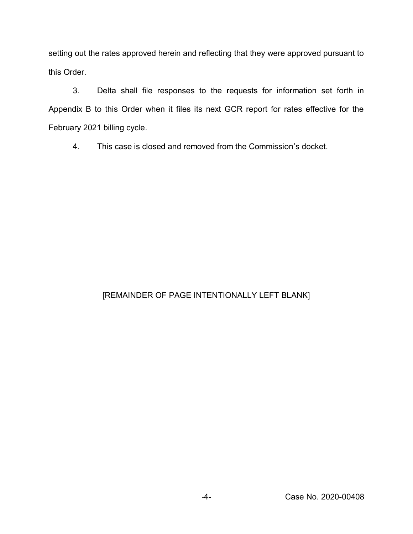setting out the rates approved herein and reflecting that they were approved pursuant to this Order.

3. Delta shall file responses to the requests for information set forth in Appendix B to this Order when it files its next GCR report for rates effective for the February 2021 billing cycle.

4. This case is closed and removed from the Commission's docket.

# [REMAINDER OF PAGE INTENTIONALLY LEFT BLANK]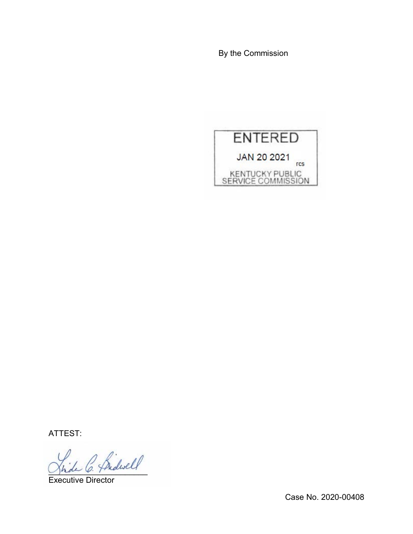By the Commission



ATTEST:

2 Sidwell

Executive Director

Case No. 2020-00408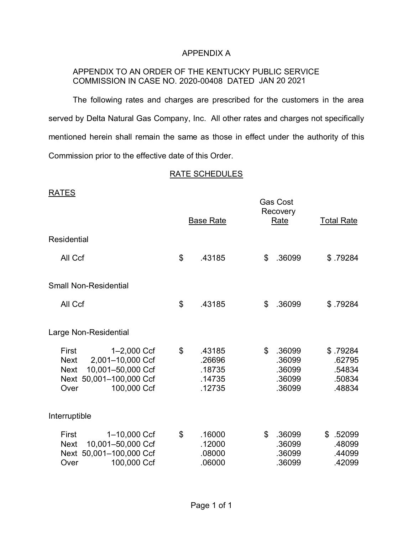## APPENDIX A

## APPENDIX TO AN ORDER OF THE KENTUCKY PUBLIC SERVICE COMMISSION IN CASE NO. 2020-00408 DATED JAN 20 2021

The following rates and charges are prescribed for the customers in the area served by Delta Natural Gas Company, Inc. All other rates and charges not specifically mentioned herein shall remain the same as those in effect under the authority of this Commission prior to the effective date of this Order.

#### RATE SCHEDULES

| <b>RATES</b>                                                                                                                                  |                  |                                                |                | <b>Gas Cost</b>                                |                                                  |
|-----------------------------------------------------------------------------------------------------------------------------------------------|------------------|------------------------------------------------|----------------|------------------------------------------------|--------------------------------------------------|
|                                                                                                                                               | <b>Base Rate</b> |                                                |                | Recovery<br>Rate                               | <b>Total Rate</b>                                |
| Residential                                                                                                                                   |                  |                                                |                |                                                |                                                  |
| All Ccf                                                                                                                                       | \$               | .43185                                         | \$             | .36099                                         | \$.79284                                         |
| <b>Small Non-Residential</b>                                                                                                                  |                  |                                                |                |                                                |                                                  |
| All Ccf                                                                                                                                       | \$               | .43185                                         | \$             | .36099                                         | \$.79284                                         |
| Large Non-Residential                                                                                                                         |                  |                                                |                |                                                |                                                  |
| 1-2,000 Ccf<br>First<br>2,001-10,000 Ccf<br><b>Next</b><br>10,001-50,000 Ccf<br><b>Next</b><br>Next 50,001-100,000 Ccf<br>100,000 Ccf<br>Over | \$               | .43185<br>.26696<br>.18735<br>.14735<br>.12735 | $\mathfrak{S}$ | .36099<br>.36099<br>.36099<br>.36099<br>.36099 | \$.79284<br>.62795<br>.54834<br>.50834<br>.48834 |
| Interruptible                                                                                                                                 |                  |                                                |                |                                                |                                                  |
| 1-10,000 Ccf<br>First<br>10,001-50,000 Ccf<br><b>Next</b><br>Next 50,001-100,000 Ccf<br>100,000 Ccf<br>Over                                   | \$               | .16000<br>.12000<br>.08000<br>.06000           | \$             | .36099<br>.36099<br>.36099<br>.36099           | \$ .52099<br>.48099<br>.44099<br>.42099          |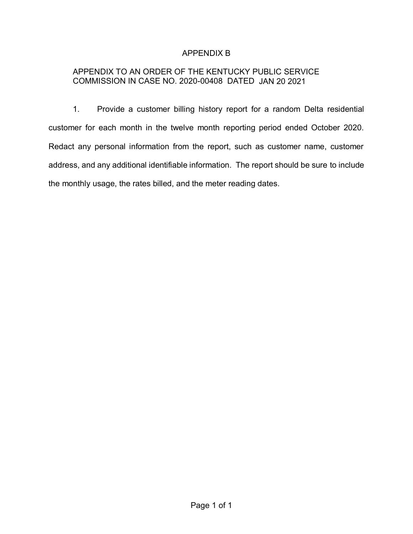# APPENDIX B

# APPENDIX TO AN ORDER OF THE KENTUCKY PUBLIC SERVICE COMMISSION IN CASE NO. 2020-00408 DATED JAN 20 2021

1. Provide a customer billing history report for a random Delta residential customer for each month in the twelve month reporting period ended October 2020. Redact any personal information from the report, such as customer name, customer address, and any additional identifiable information. The report should be sure to include the monthly usage, the rates billed, and the meter reading dates.